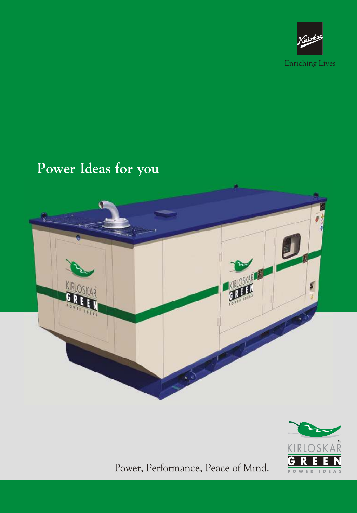

# **Power Ideas for you**





Power, Performance, Peace of Mind.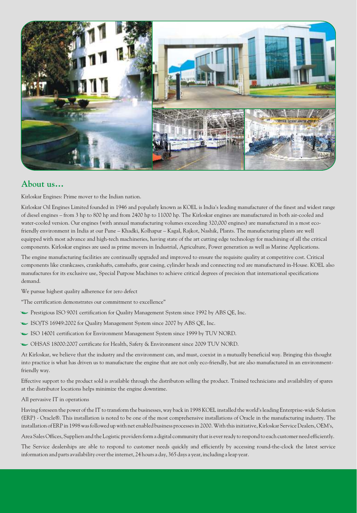

## **About us…**

Kirloskar Engines: Prime mover to the Indian nation.

Kirloskar Oil Engines Limited founded in 1946 and popularly known as KOEL is India's leading manufacturer of the finest and widest range of diesel engines – from 3 hp to 800 hp and from 2400 hp to 11000 hp. The Kirloskar engines are manufactured in both air-cooled and water-cooled version. Our engines (with annual manufacturing volumes exceeding 320,000 engines) are manufactured in a most ecofriendly environment in India at our Pune – Khadki, Kolhapur – Kagal, Rajkot, Nashik, Plants. The manufacturing plants are well equipped with most advance and high-tech machineries, having state of the art cutting edge technology for machining of all the critical components. Kirloskar engines are used as prime movers in Industrial, Agriculture, Power generation as well as Marine Applications.

The engine manufacturing facilities are continually upgraded and improved to ensure the requisite quality at competitive cost. Critical components like crankcases, crankshafts, camshafts, gear casing, cylinder heads and connecting rod are manufactured in-House. KOEL also manufactures for its exclusive use, Special Purpose Machines to achieve critical degrees of precision that international specifications demand.

We pursue highest quality adherence for zero defect

"The certification demonstrates our commitment to excellence"

- Prestigious ISO 9001 certification for Quality Management System since 1992 by ABS QE, Inc.
- ISO/TS 16949:2002 for Quality Management System since 2007 by ABS QE, Inc.
- ISO 14001 certification for Environment Management System since 1999 by TUV NORD.
- OHSAS 18000:2007 certificate for Health, Safety & Environment since 2009 TUV NORD.

At Kirloskar, we believe that the industry and the environment can, and must, coexist in a mutually beneficial way. Bringing this thought into practice is what has driven us to manufacture the engine that are not only eco-friendly, but are also manufactured in an environmentfriendly way.

Effective support to the product sold is available through the distributors selling the product. Trained technicians and availability of spares at the distributor locations helps minimize the engine downtime.

All pervasive IT in operations

Having foreseen the power of the IT to transform the businesses, way back in 1998 KOEL installed the world's leading Enterprise-wide Solution (ERP) - Oracle®. This installation is noted to be one of the most comprehensive installations of Oracle in the manufacturing industry. The installation of ERP in 1998 was followed up with net enabled business processes in 2000. With this initiative, Kirloskar Service Dealers, OEM's,

Area Sales Offices, Suppliers and the Logistic providers form a digital community that is ever ready to respond to each customer need efficiently.

The Service dealerships are able to respond to customer needs quickly and efficiently by accessing round-the-clock the latest service information and parts availability over the internet, 24 hours a day, 365 days a year, including a leap year.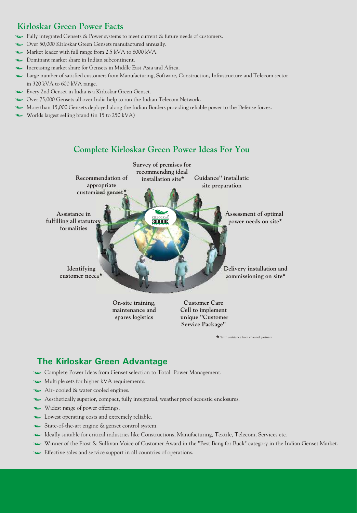# **Kirloskar Green Power Facts**

- Fully integrated Gensets & Power systems to meet current & future needs of customers.
- Over 50,000 Kirloskar Green Gensets manufactured annually.
- Market leader with full range from 2.5 kVA to 8000 kVA.
- Dominant market share in Indian subcontinent.
- Increasing market share for Gensets in Middle East Asia and Africa.
- Large number of satisfied customers from Manufacturing, Software, Construction, Infrastructure and Telecom sector in 320 kVA to 600 kVA range.
- Every 2nd Genset in India is a Kirloskar Green Genset.
- Over 75,000 Gensets all over India help to run the Indian Telecom Network.
- More than 15,000 Gensets deployed along the Indian Borders providing reliable power to the Defense forces.
- $\sim$  Worlds largest selling brand (in 15 to 250 kVA)

# **Complete Kirloskar Green Power Ideas For You**



With assistance from channel partners

# **The Kirloskar Green Advantage**

- Complete Power Ideas from Genset selection to Total Power Management.
- Multiple sets for higher kVA requirements.
- Air-cooled & water cooled engines.
- Aesthetically superior, compact, fully integrated, weather proof acoustic enclosures.
- Widest range of power offerings.
- Lowest operating costs and extremely reliable.
- State-of-the-art engine & genset control system.
- Ideally suitable for critical industries like Constructions, Manufacturing, Textile, Telecom, Services etc.
- Winner of the Frost & Sullivan Voice of Customer Award in the "Best Bang for Buck" category in the Indian Genset Market.
- Effective sales and service support in all countries of operations.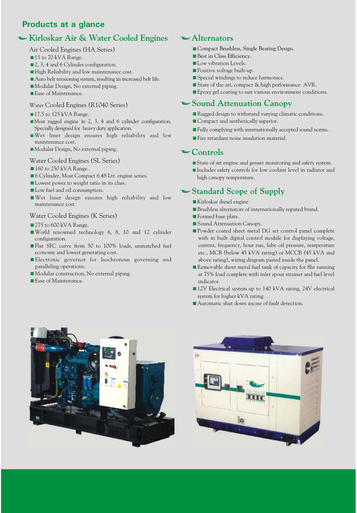# **Products at a glance**

# **Kirloskar Air & Water Cooled Engines**

## Air Cooled Engines (HA Series)

- 15 to 70 kVA Range.
- 2, 3, 4 and 6 Cylinder configuration.
- High Reliability and low maintenance cost.
- < Auto belt tensioning system, resulting in increased belt life.
- < Modular Design, No external piping.
- Ease of Maintenance.

## Water Cooled Engines (R1040 Series)

- 17.5 to 125 kVA Range.
- < Most rugged engine in 2, 3, 4 and 6 cylinder configuration. Specially designed for heavy duty application.
- < Wet liner design ensures high reliability and low maintenance cost.
- < Modular Design, No external piping.

#### Water Cooled Engines (SL Series)

- 160 to 250 kVA Range.
- 6 Cylinder, Most Compact 6.48 Ltr. engine series.
- **Lowest power to weight ratio in its class.**
- **Low fuel and oil consumption.**
- < Wet liner design ensures high reliability and low maintenance cost.

#### Water Cooled Engines (K Series)

- 275 to 600 kVA Range.
- < World renowned technology 6, 8, 10 and 12 cylinder configuration.
- Flat SFC curve from 50 to 100% loads, unmatched fuel economy and lowest generating cost.
- Electronic governor for Isochronous governing and paralleling operations.
- < Modular construction, No external piping.
- Ease of Maintenance.

## **Alternators**

- < Compact Brushless, Single Bearing Design.
- Best in Class Efficiency.
- **Low vibration Levels.**
- Positive voltage built-up.
- Special windings to reduce harmonics.
- State of the art, compact & high performance AVR.
- < Epoxy gel coating to suit various environment conditions.

## **Sound Attenuation Canopy**

- Rugged design to withstand varying climatic conditions.
- Compact and aesthetically superior.
- < Fully complying with internationally accepted sound norms.
- **Fire retardant noise insulation material.**

## **Controls**

- State of art engine and genset monitoring and safety system.
- < Includes safety controls for low coolant level in radiator and high canopy temperature.

# **Standard Scope of Supply**

- < Kirloskar diesel engine
- < Brushless alternators of internationally reputed brand.
- **Formed base plate.**
- Sound Attenuation Canopy.
- Powder coated sheet metal DG set control panel complete with in built digital control module for displaying voltage, current, frequency, hour run, lube oil pressure, temperature etc., MCB (below 45 kVA rating) or MCCB (45 kVA and above rating), wiring diagram pasted inside the panel.
- Removable sheet metal fuel tank of capacity for 8hr running at 75% load complete with inlet spout strainer and fuel level indicator.
- 12V Electrical system up to 140 kVA rating, 24V electrical system for higher kVA rating.
- Automatic shut down incase of fault detection.



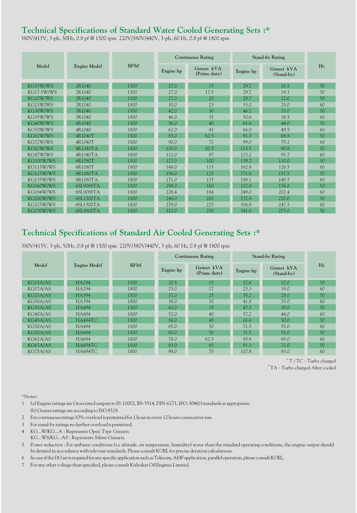# **Technical Specifications of Standard Water Cooled Generating Sets :\***

380V/415V, 3-ph, 50Hz, 0.8 pf @ 1500 rpm 220V/380V/440V, 3-ph, 60 Hz, 0.8 pf @ 1800 rpm

| Model      | <b>Engine Model</b> | <b>RPM</b> | <b>Continuous Rating</b> |                            | <b>Stand-by Rating</b> |                          |    |
|------------|---------------------|------------|--------------------------|----------------------------|------------------------|--------------------------|----|
|            |                     |            | Engine hp                | Genset kVA<br>(Prime duty) | Engine hp              | Genset kVA<br>(Stand-by) | Hz |
| KG15W/WS   | 2R1040              | 1500       | 27.0                     | 15                         | 29.7                   | 16.5                     | 50 |
| KG17.5W/WS | 2R1040              | 1500       | 27.0                     | 17.5                       | 29.7                   | 19.3                     | 50 |
| KG20W/WS   | 2R1040              | 1500       | 27.0                     | 20                         | 29.7                   | 22.0                     | 50 |
| KG23W/WS   | 2R1040              | 1800       | 30.0                     | 23                         | 33.0                   | 25.0                     | 60 |
| KG30W/WS   | 3R1040              | 1500       | 42.0                     | 30                         | 46.2                   | 33.0                     | 50 |
| KG35W/WS   | 3R1040              | 1800       | 46.0                     | 35                         | 50.6                   | 38.5                     | 60 |
| KG40W/WS   | 4R1040              | 1500       | 56.0                     | 40                         | 61.6                   | 44.0                     | 50 |
| KG50W/WS   | 4R1040              | 1800       | 62.0                     | 45                         | 66.0                   | 49.5                     | 60 |
| KG62W/WS   | 4R1040T             | 1500       | 83.0                     | 62.5                       | 91.3                   | 68.8                     | 50 |
| KG72W/WS   | 4R1040T             | 1800       | 90.0                     | 72                         | 99.0                   | 79.2                     | 60 |
| KG82W/WS   | 4R1040TA            | 1500       | 105.0                    | 82.5                       | 115.5                  | 90.8                     | 50 |
| KG87W/WS   | 4R1040TA            | 1800       | 112.0                    | 87                         | 123.2                  | 95.7                     | 60 |
| KG100W/WS  | 6R1080T             | 1500       | 127.0                    | 100                        | 139.7                  | 110.0                    | 50 |
| KG115W/WS  | 6R1080T             | 1800       | 148.0                    | 115                        | 162.8                  | 126.5                    | 60 |
| KG125W/WS  | 6R1080TA            | 1500       | 156.0                    | 125                        | 171.6                  | 137.5                    | 50 |
| KG135W/WS  | 6R1080TA            | 1800       | 171.0                    | 135                        | 188.1                  | 148.5                    | 60 |
| KG160W/WS  | 6SL9088TA           | 1500       | 198.0                    | 160                        | 217.8                  | 176.0                    | 50 |
| KG184W/WS  | 6SL9088TA           | 1800       | 226.4                    | 184                        | 249.0                  | 202.4                    | 60 |
| KG200W/WS  | 6SL1500TA           | 1500       | 248.0                    | 200                        | 272.8                  | 220.0                    | 50 |
| KG225W/WS  | 6SL1500TA           | 1800       | 279.0                    | 225                        | 306.9                  | 247.5                    | 60 |
| KG250W/WS  | 6SL8800TA           | 1500       | 310.0                    | 250                        | 341.0                  | 275.0                    | 50 |

# **Technical Specifications of Standard Air Cooled Generating Sets :\***

380V/415V, 3-ph, 50Hz, 0.8 pf @ 1500 rpm 220V/380V/440V, 3-ph, 60 Hz, 0.8 pf @ 1800 rpm

| Model                 | <b>Engine Model</b> | <b>RPM</b> | <b>Continuous Rating</b> |                            | <b>Stand-by Rating</b> |                            |    |
|-----------------------|---------------------|------------|--------------------------|----------------------------|------------------------|----------------------------|----|
|                       |                     |            | Engine hp                | Genset kVA<br>(Prime duty) | Engine hp              | Genset kVA<br>$(Stand-by)$ | Hz |
| KG15A/AS              | <b>HA294</b>        | 1500       | 20.5                     | 15                         | 22.6                   | 17.0                       | 50 |
| KG17A/AS              | <b>HA294</b>        | 1800       | 23.0                     | 17                         | 25.3                   | 19.0                       | 60 |
| KG <sub>25</sub> A/AS | <b>HA394</b>        | 1500       | 32.0                     | 25                         | 35.2                   | 28.0                       | 50 |
| KG30A/AS              | <b>HA394</b>        | 1800       | 38.0                     | 30                         | 41.8                   | 33.0                       | 60 |
| KG35A/AS              | <b>HA494</b>        | 1500       | 43.0                     | 35                         | 47.3                   | 39.0                       | 50 |
| KG40A/AS              | <b>HA494</b>        | 1800       | 52.0                     | 40                         | 57.2                   | 44.0                       | 60 |
| KG45A/AS              | <b>HA494TC</b>      | 1500       | 56.0                     | 45                         | 61.6                   | 50.0                       | 50 |
| KG50A/AS              | <b>HA494</b>        | 1800       | 65.0                     | 50                         | 71.5                   | 55.0                       | 60 |
| KG50A/AS              | HA694               | 1500       | 65.0                     | 50                         | 71.5                   | 55.0                       | 50 |
| KG62A/AS              | HA694               | 1800       | 78.0                     | 62.5                       | 85.8                   | 69.0                       | 60 |
| KG65A/AS              | HA694TC             | 1500       | 83.0                     | 65                         | 91.3                   | 72.0                       | 50 |
| KG75A/AS              | HA694TC             | 1800       | 98.0                     | 75                         | 107.8                  | 83.0                       | 60 |

\* T / TC - Turbo charged  $*$ TA - Turbo charged After cooled

\*Notes:

- 1 (a) Engine ratings are Gross rated outputs to IS-10002, BS-5514, DIN-6271, ISO-3046/1standards as appropriate. (b) Genset ratings are according to ISO 8528.
- 2 For continuous ratings 10% overload is permitted for 1 hour in every 12 hours consecutive run.
- 3 For stand-by ratings no further overload is permitted.
- 4 KG...W/KG...A : Represents Open Type Gensets
- KG...WS/KG...AS : Represents Silent Gensets.
- 5 Power reduction : For ambient conditions (i.e altitude, air temperature, humidity) worse than the standard operating conditions, the engine output should be derated in accordance with relevant standards. Please consult KOEL for precise deration calculations.
- 6 Incase iftheDGsetisrequiredfor any specific applicationsuchasTelecom,AMFapplication,paralleloperation,please consultKOEL.
- 7 For any other voltage than specified, please consult Kirloskar Oil Engines Limited.